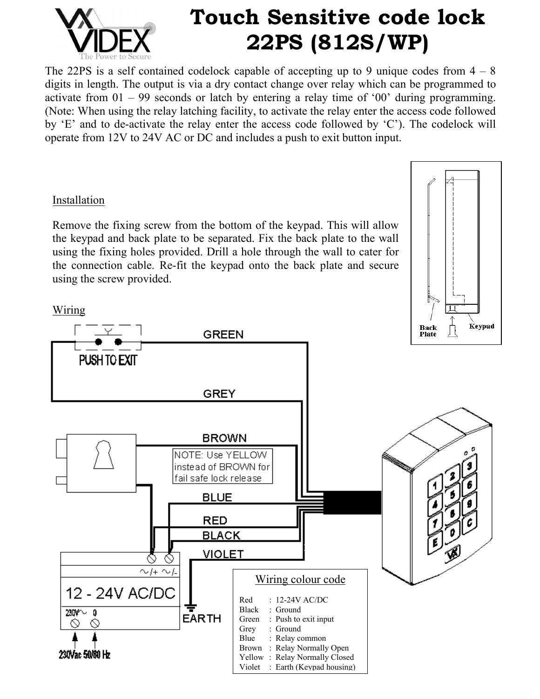

# **Touch Sensitive code lock 22PS (812S/WP)**

The 22PS is a self contained codelock capable of accepting up to 9 unique codes from  $4 - 8$ digits in length. The output is via a dry contact change over relay which can be programmed to activate from 01 – 99 seconds or latch by entering a relay time of '00' during programming. (Note: When using the relay latching facility, to activate the relay enter the access code followed by 'E' and to de-activate the relay enter the access code followed by 'C'). The codelock will operate from 12V to 24V AC or DC and includes a push to exit button input.

## Installation

Remove the fixing screw from the bottom of the keypad. This will allow the keypad and back plate to be separated. Fix the back plate to the wall using the fixing holes provided. Drill a hole through the wall to cater for the connection cable. Re-fit the keypad onto the back plate and secure using the screw provided.



## Wiring